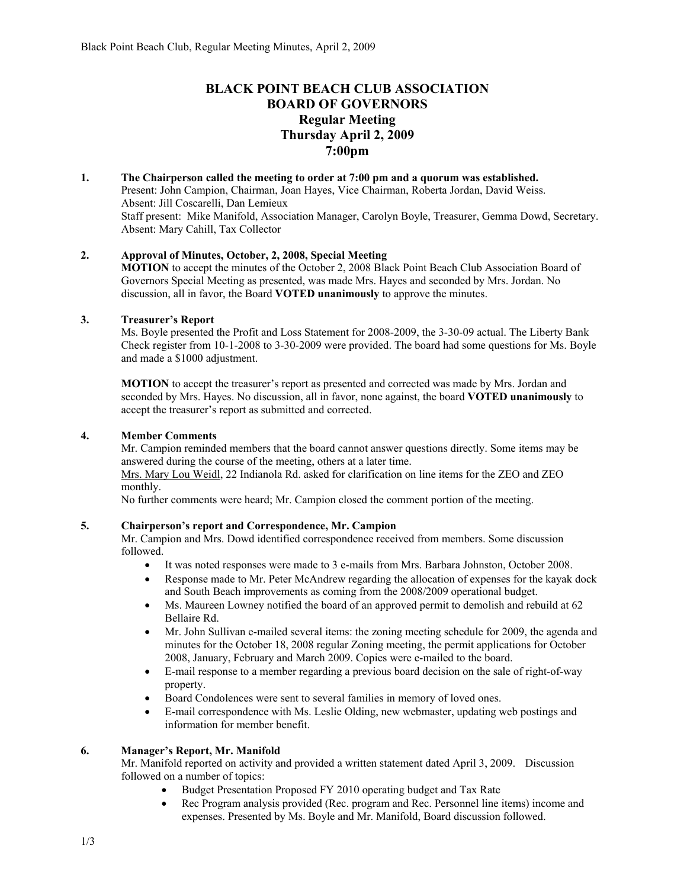# **BLACK POINT BEACH CLUB ASSOCIATION BOARD OF GOVERNORS Regular Meeting Thursday April 2, 2009 7:00pm**

**1. The Chairperson called the meeting to order at 7:00 pm and a quorum was established.**  Present: John Campion, Chairman, Joan Hayes, Vice Chairman, Roberta Jordan, David Weiss. Absent: Jill Coscarelli, Dan Lemieux Staff present: Mike Manifold, Association Manager, Carolyn Boyle, Treasurer, Gemma Dowd, Secretary. Absent: Mary Cahill, Tax Collector

### **2. Approval of Minutes, October, 2, 2008, Special Meeting**

**MOTION** to accept the minutes of the October 2, 2008 Black Point Beach Club Association Board of Governors Special Meeting as presented, was made Mrs. Hayes and seconded by Mrs. Jordan. No discussion, all in favor, the Board **VOTED unanimously** to approve the minutes.

#### **3. Treasurer's Report**

Ms. Boyle presented the Profit and Loss Statement for 2008-2009, the 3-30-09 actual. The Liberty Bank Check register from 10-1-2008 to 3-30-2009 were provided. The board had some questions for Ms. Boyle and made a \$1000 adjustment.

**MOTION** to accept the treasurer's report as presented and corrected was made by Mrs. Jordan and seconded by Mrs. Hayes. No discussion, all in favor, none against, the board **VOTED unanimously** to accept the treasurer's report as submitted and corrected.

#### **4. Member Comments**

Mr. Campion reminded members that the board cannot answer questions directly. Some items may be answered during the course of the meeting, others at a later time.

Mrs. Mary Lou Weidl, 22 Indianola Rd. asked for clarification on line items for the ZEO and ZEO monthly.

No further comments were heard; Mr. Campion closed the comment portion of the meeting.

#### **5. Chairperson's report and Correspondence, Mr. Campion**

Mr. Campion and Mrs. Dowd identified correspondence received from members. Some discussion followed.

- It was noted responses were made to 3 e-mails from Mrs. Barbara Johnston, October 2008.
- Response made to Mr. Peter McAndrew regarding the allocation of expenses for the kayak dock and South Beach improvements as coming from the 2008/2009 operational budget.
- Ms. Maureen Lowney notified the board of an approved permit to demolish and rebuild at 62 Bellaire Rd.
- Mr. John Sullivan e-mailed several items: the zoning meeting schedule for 2009, the agenda and minutes for the October 18, 2008 regular Zoning meeting, the permit applications for October 2008, January, February and March 2009. Copies were e-mailed to the board.
- E-mail response to a member regarding a previous board decision on the sale of right-of-way property.
- Board Condolences were sent to several families in memory of loved ones.
- E-mail correspondence with Ms. Leslie Olding, new webmaster, updating web postings and information for member benefit.

#### **6. Manager's Report, Mr. Manifold**

Mr. Manifold reported on activity and provided a written statement dated April 3, 2009. Discussion followed on a number of topics:

- Budget Presentation Proposed FY 2010 operating budget and Tax Rate
- Rec Program analysis provided (Rec. program and Rec. Personnel line items) income and expenses. Presented by Ms. Boyle and Mr. Manifold, Board discussion followed.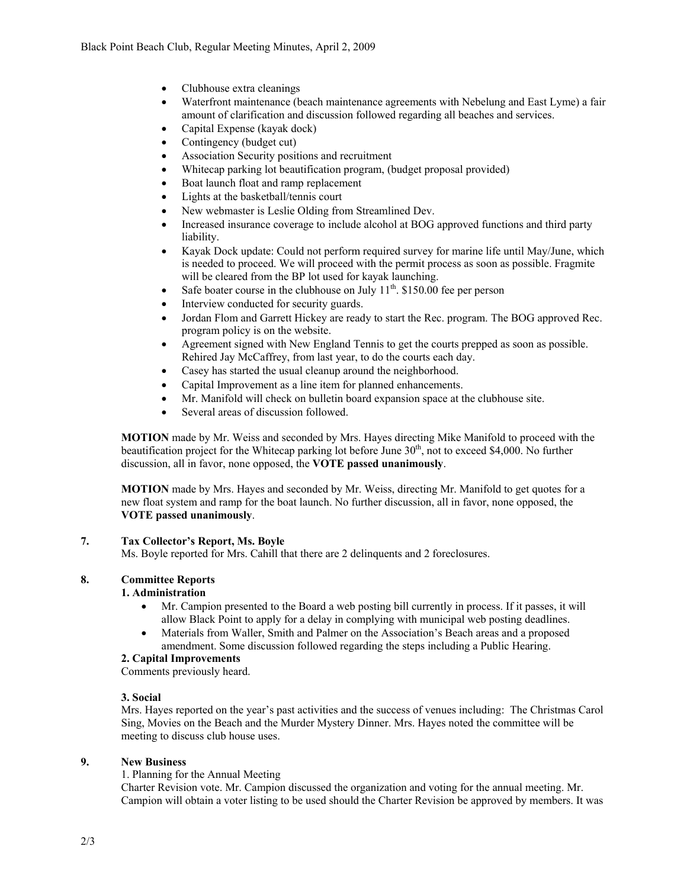- Clubhouse extra cleanings
- Waterfront maintenance (beach maintenance agreements with Nebelung and East Lyme) a fair amount of clarification and discussion followed regarding all beaches and services.
- Capital Expense (kayak dock)
- Contingency (budget cut)
- Association Security positions and recruitment
- Whitecap parking lot beautification program, (budget proposal provided)
- Boat launch float and ramp replacement
- Lights at the basketball/tennis court
- New webmaster is Leslie Olding from Streamlined Dev.
- Increased insurance coverage to include alcohol at BOG approved functions and third party liability.
- Kayak Dock update: Could not perform required survey for marine life until May/June, which is needed to proceed. We will proceed with the permit process as soon as possible. Fragmite will be cleared from the BP lot used for kayak launching.
- Safe boater course in the clubhouse on July  $11<sup>th</sup>$ . \$150.00 fee per person
- Interview conducted for security guards.
- Jordan Flom and Garrett Hickey are ready to start the Rec. program. The BOG approved Rec. program policy is on the website.
- Agreement signed with New England Tennis to get the courts prepped as soon as possible. Rehired Jay McCaffrey, from last year, to do the courts each day.
- Casey has started the usual cleanup around the neighborhood.
- Capital Improvement as a line item for planned enhancements.
- Mr. Manifold will check on bulletin board expansion space at the clubhouse site.
- Several areas of discussion followed.

**MOTION** made by Mr. Weiss and seconded by Mrs. Hayes directing Mike Manifold to proceed with the beautification project for the Whitecap parking lot before June  $30<sup>th</sup>$ , not to exceed \$4,000. No further discussion, all in favor, none opposed, the **VOTE passed unanimously**.

**MOTION** made by Mrs. Hayes and seconded by Mr. Weiss, directing Mr. Manifold to get quotes for a new float system and ramp for the boat launch. No further discussion, all in favor, none opposed, the **VOTE passed unanimously**.

# **7. Tax Collector's Report, Ms. Boyle**

Ms. Boyle reported for Mrs. Cahill that there are 2 delinquents and 2 foreclosures.

# **8. Committee Reports**

### **1. Administration**

- Mr. Campion presented to the Board a web posting bill currently in process. If it passes, it will allow Black Point to apply for a delay in complying with municipal web posting deadlines.
- Materials from Waller, Smith and Palmer on the Association's Beach areas and a proposed amendment. Some discussion followed regarding the steps including a Public Hearing.

### **2. Capital Improvements**

Comments previously heard.

### **3. Social**

Mrs. Hayes reported on the year's past activities and the success of venues including: The Christmas Carol Sing, Movies on the Beach and the Murder Mystery Dinner. Mrs. Hayes noted the committee will be meeting to discuss club house uses.

# **9. New Business**

1. Planning for the Annual Meeting

Charter Revision vote. Mr. Campion discussed the organization and voting for the annual meeting. Mr. Campion will obtain a voter listing to be used should the Charter Revision be approved by members. It was